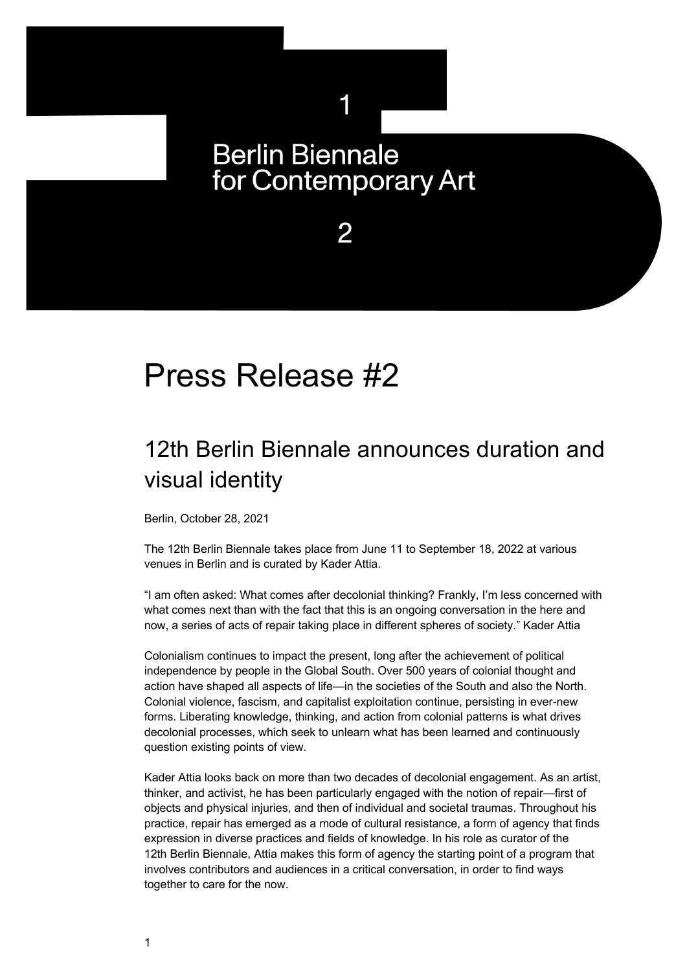## **Berlin Biennale** for Contemporary Art

1

2

# Press Release #2

### 12th Berlin Biennale announces duration and visual identity

Berlin, October 28, 2021

The 12th Berlin Biennale takes place from June 11 to September 18, 2022 at various venues in Berlin and is curated by Kader Attia.

"I am often asked: What comes after decolonial thinking? Frankly, I'm less concerned with what comes next than with the fact that this is an ongoing conversation in the here and now, a series of acts of repair taking place in different spheres of society." Kader Attia

Colonialism continues to impact the present, long after the achievement of political independence by people in the Global South. Over 500 years of colonial thought and action have shaped all aspects of life—in the societies of the South and also the North. Colonial violence, fascism, and capitalist exploitation continue, persisting in ever-new forms. Liberating knowledge, thinking, and action from colonial patterns is what drives decolonial processes, which seek to unlearn what has been learned and continuously question existing points of view.

Kader Attia looks back on more than two decades of decolonial engagement. As an artist, thinker, and activist, he has been particularly engaged with the notion of repair—first of objects and physical injuries, and then of individual and societal traumas. Throughout his practice, repair has emerged as a mode of cultural resistance, a form of agency that finds expression in diverse practices and fields of knowledge. In his role as curator of the 12th Berlin Biennale, Attia makes this form of agency the starting point of a program that involves contributors and audiences in a critical conversation, in order to find ways together to care for the now.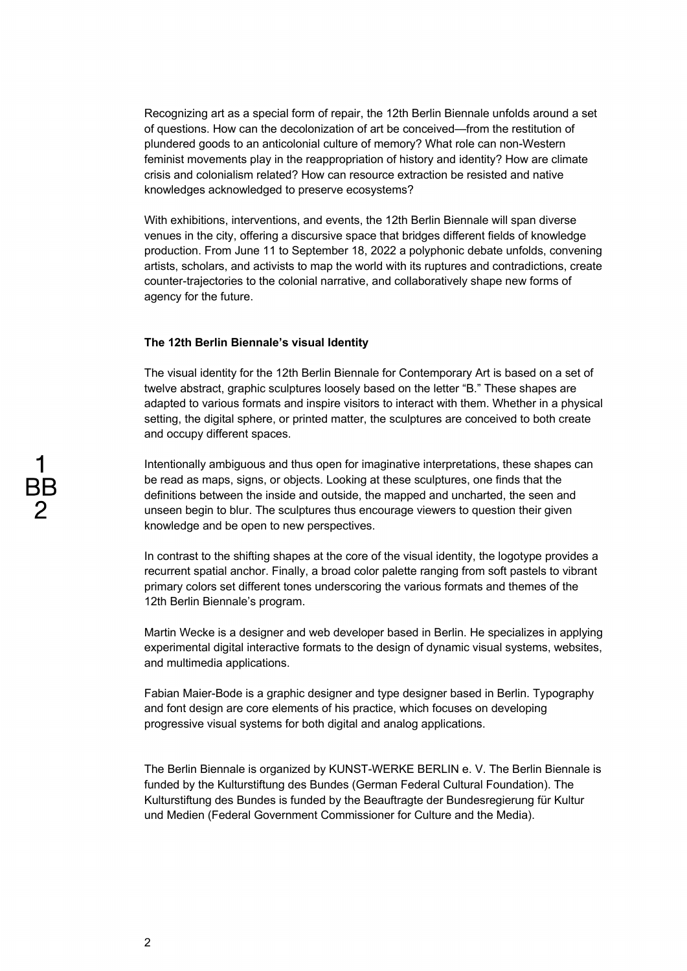Recognizing art as a special form of repair, the 12th Berlin Biennale unfolds around a set of questions. How can the decolonization of art be conceived—from the restitution of plundered goods to an anticolonial culture of memory? What role can non-Western feminist movements play in the reappropriation of history and identity? How are climate crisis and colonialism related? How can resource extraction be resisted and native knowledges acknowledged to preserve ecosystems?

With exhibitions, interventions, and events, the 12th Berlin Biennale will span diverse venues in the city, offering a discursive space that bridges different fields of knowledge production. From June 11 to September 18, 2022 a polyphonic debate unfolds, convening artists, scholars, and activists to map the world with its ruptures and contradictions, create counter-trajectories to the colonial narrative, and collaboratively shape new forms of agency for the future.

#### **The 12th Berlin Biennale's visual Identity**

The visual identity for the 12th Berlin Biennale for Contemporary Art is based on a set of twelve abstract, graphic sculptures loosely based on the letter "B." These shapes are adapted to various formats and inspire visitors to interact with them. Whether in a physical setting, the digital sphere, or printed matter, the sculptures are conceived to both create and occupy different spaces.

Intentionally ambiguous and thus open for imaginative interpretations, these shapes can be read as maps, signs, or objects. Looking at these sculptures, one finds that the definitions between the inside and outside, the mapped and uncharted, the seen and unseen begin to blur. The sculptures thus encourage viewers to question their given knowledge and be open to new perspectives.

In contrast to the shifting shapes at the core of the visual identity, the logotype provides a recurrent spatial anchor. Finally, a broad color palette ranging from soft pastels to vibrant primary colors set different tones underscoring the various formats and themes of the 12th Berlin Biennale's program.

Martin Wecke is a designer and web developer based in Berlin. He specializes in applying experimental digital interactive formats to the design of dynamic visual systems, websites, and multimedia applications.

Fabian Maier-Bode is a graphic designer and type designer based in Berlin. Typography and font design are core elements of his practice, which focuses on developing progressive visual systems for both digital and analog applications.

The Berlin Biennale is organized by KUNST-WERKE BERLIN e. V. The Berlin Biennale is funded by the Kulturstiftung des Bundes (German Federal Cultural Foundation). The Kulturstiftung des Bundes is funded by the Beauftragte der Bundesregierung für Kultur und Medien (Federal Government Commissioner for Culture and the Media).